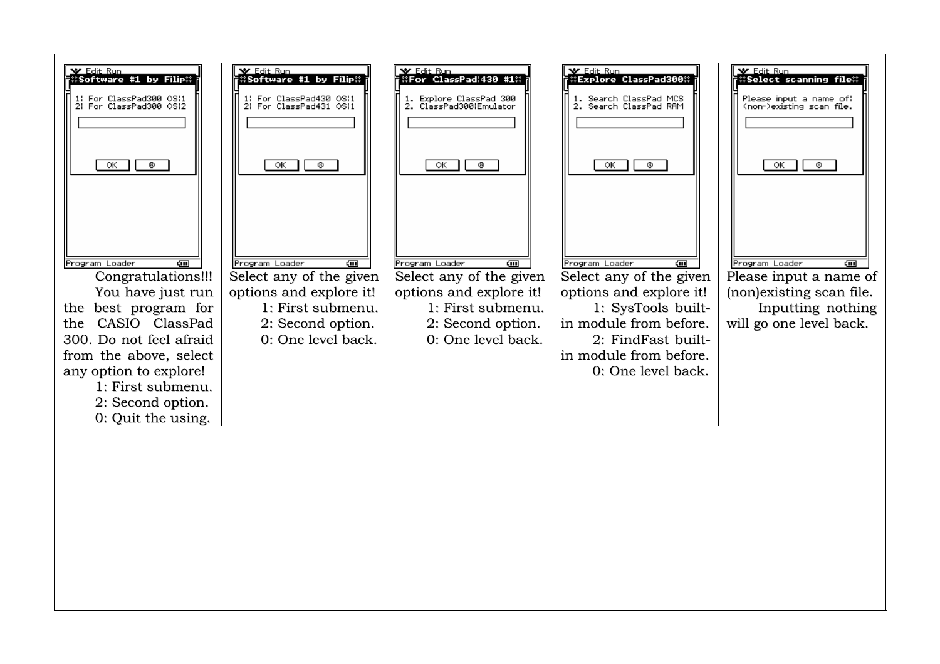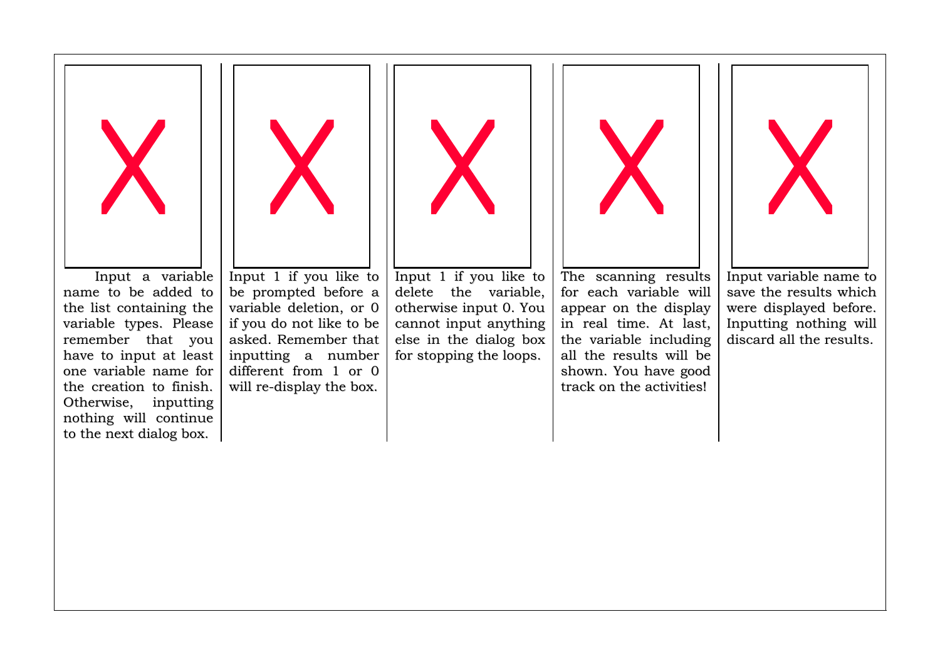

Input a variable name to be added to the list <sup>c</sup> ontaining th e variable types. Please remember that y ouhave to input at least one variable name for the creation to finish. Otherwise, in p utting nothing will continue to the next dialog box.



In p ut 1 if y o u lik e to be prompted before a v ariable deletion, o r 0if you do not like to be asked. Remember that inputting a number diffe rent fr om 1 <sup>o</sup> r0will <sup>r</sup> e-dis play th e b o x.



In p ut 1 if y o u lik e to delete the v ariable, othe r wis e inp ut 0. Youc annot inp ut anythin g else in the dialog box fo r sto p pin g th e lo o p s.



The scanning results for each variable will ap p e ar on th e dis play in real time. At last, the variable including all the results will be shown. You have good track on the activities!



In p ut <sup>v</sup> aria ble n a me to save the results which were displayed before. Inp utting nothing will discard all the results.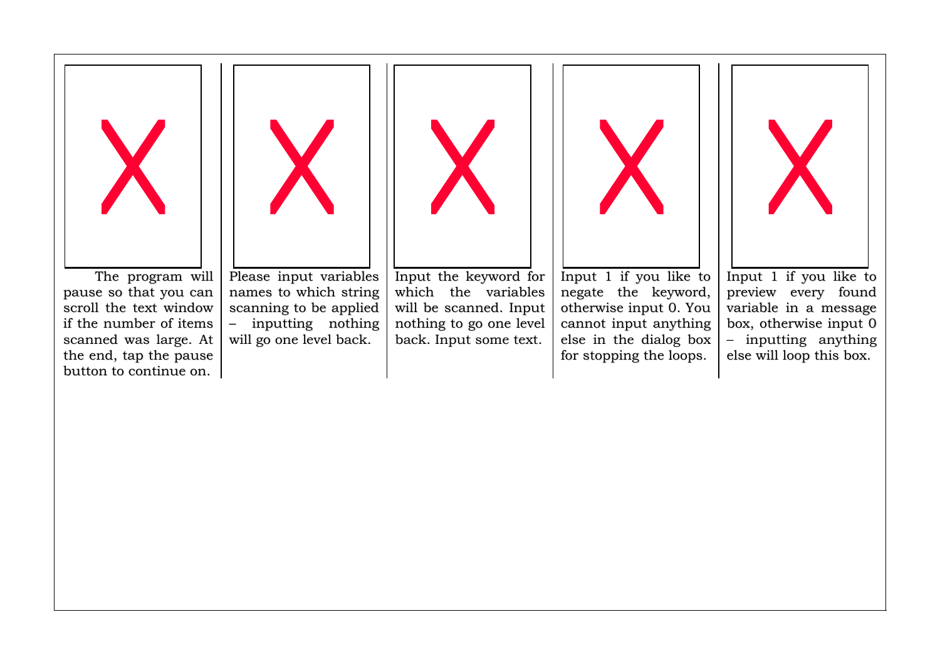



The program will pause so that you can scroll the te xt windowif the number of items s c a n n e d wa s lar g e. At the end, tap the pause button to continue on.

Please input variables names to which string s c a n nin g to b e a p plie d – inp utting nothing will go one level back.



Input the keyword for whic h th e v ariable s will be scanned. Input nothing to go one level b ac k. In p ut s o me te xt.



In p ut 1 if y o u lik e to negate the keyword, otherwise input 0. You c annot inp ut anythin g els e in th e dialo g b o x for stopping the loops.



In p ut 1 if y o u lik e to preview every found variable in a message box, otherwise input 0 – inputting anything els e will lo o p this b o x.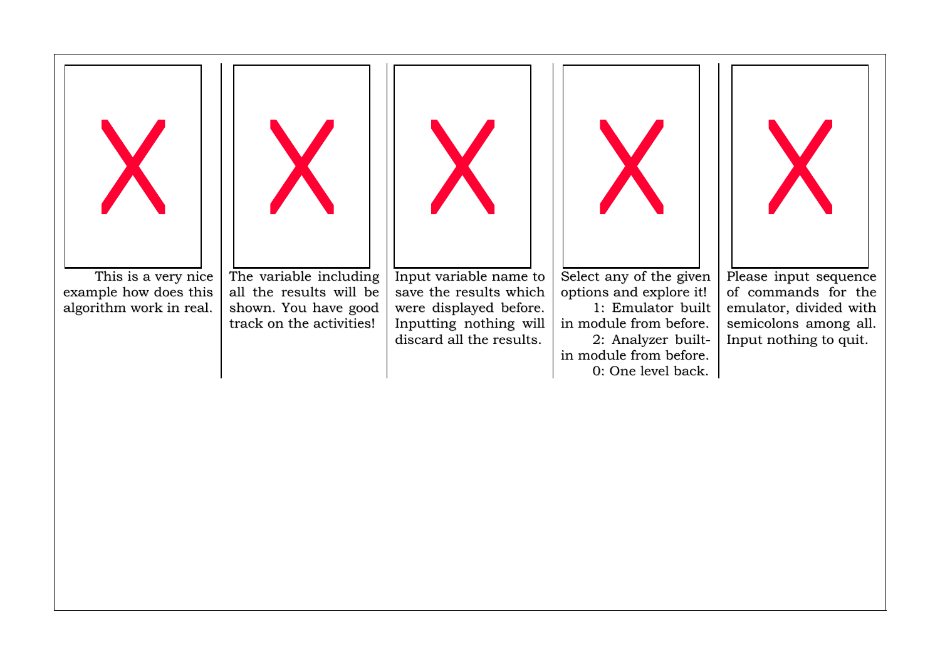

This is a very nice example how does this algorithm work in real.

T h e v aria ble in clu din g all the results will be shown. You have good track on the activities!



In p ut <sup>v</sup> aria ble n a me to save the results which were displayed before. In p uttin g n othin g will discard all the results.

S ele ct a n y o f th e giv e n options and explore it! 1: Emulator built in module from before. 2: Analyzer builtin module from before. 0: One le vel bac k.



Please input sequence of c ommands for the emulator, divided with semicolons among all. Input nothing to quit.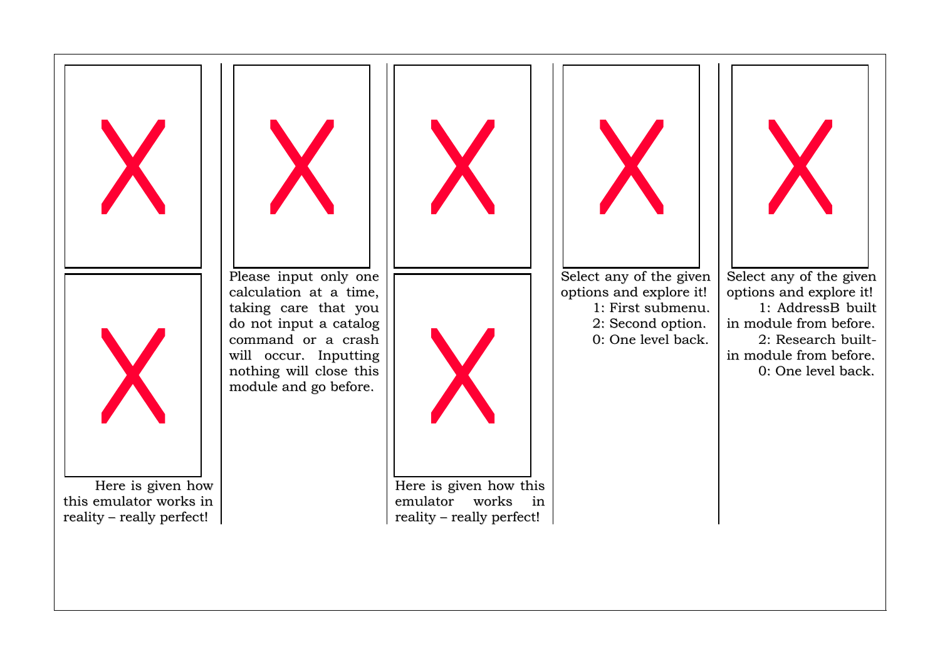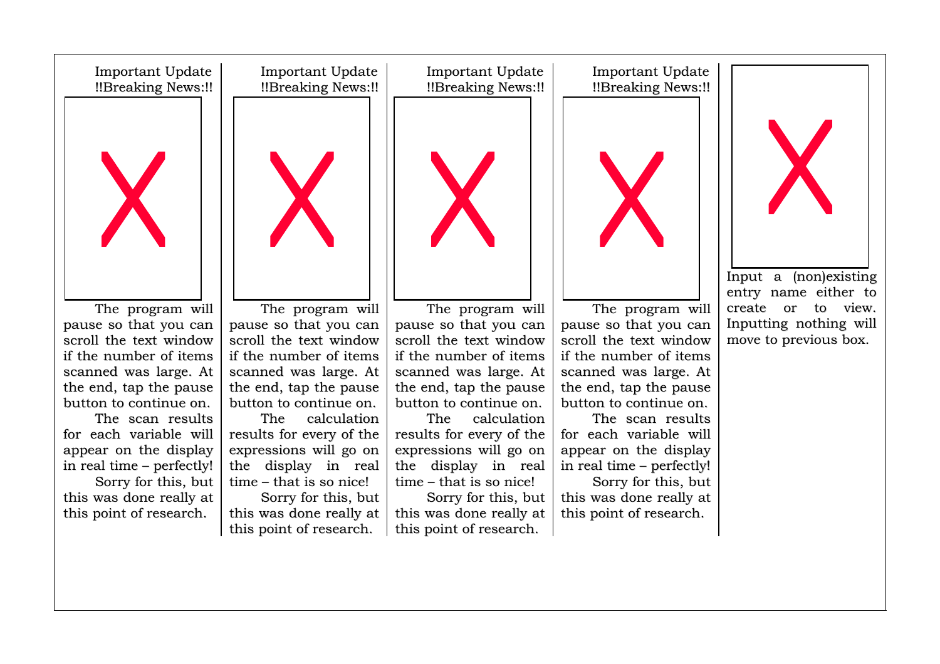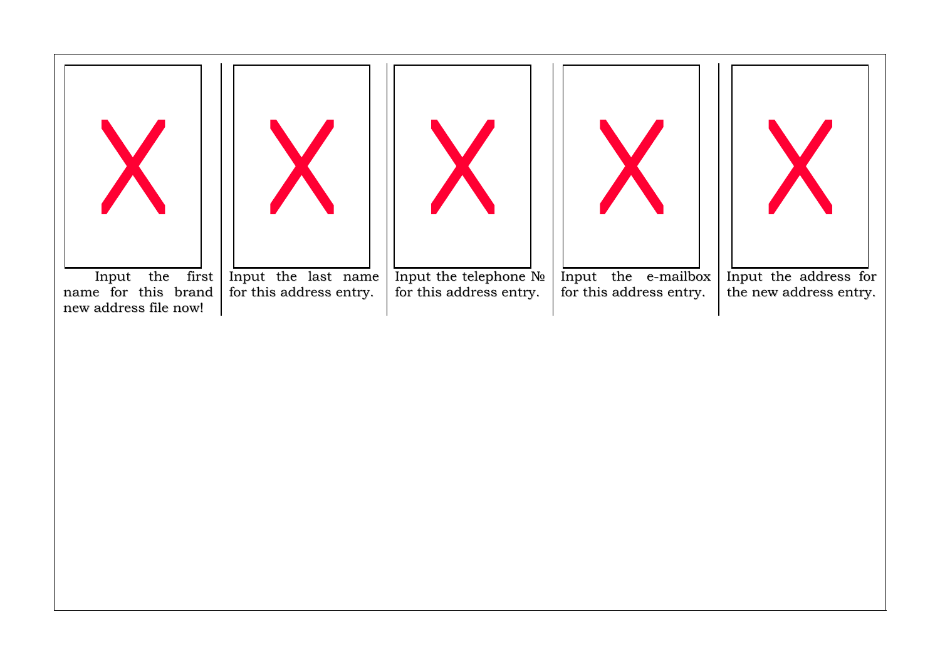



Input the first name for this brand new address file now!

Input the last name for this address entry.



Input the telephone Nº for this address entry.



In p ut th e e-m ailb o x for this address entry.



Input the address for the new address entry.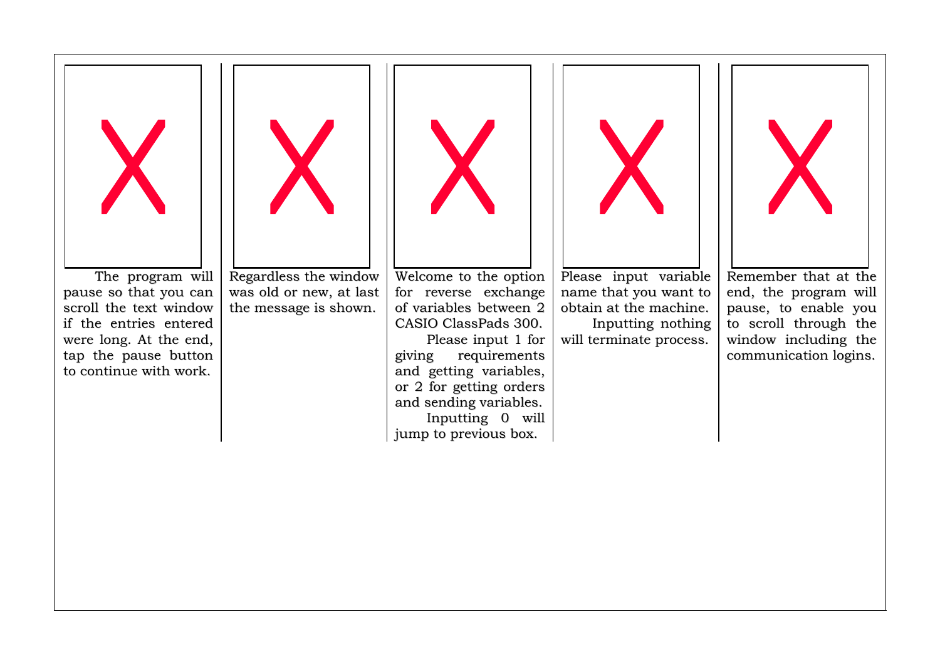

The program will pause so that you can scroll the te xt windowif the entries entered were long. At the end, tap the pause button to continue with work.



R e g ar dle s s th e win d o w was old or new, at last the message is shown.



Welc o me to th e o ptio n for reverse exchange of variables between 2 CASIO ClassPads 300.

Ple a s e in p ut 1 fo r givin g r e q uir e me nts a n d g ettin g v aria ble s, or 2 for getting orders and sending variables. In p uttin g 0 will jump to previous box.



Ple a s e in p ut <sup>v</sup> aria ble name that you want to obtain at the machine. Inp utting nothing will terminate process.



Re me mbe r that at the e n d, th e p r o gr a m will pause, to enable you to scroll through the win d o w in clu din g th e c o mmu nic atio n lo gin s.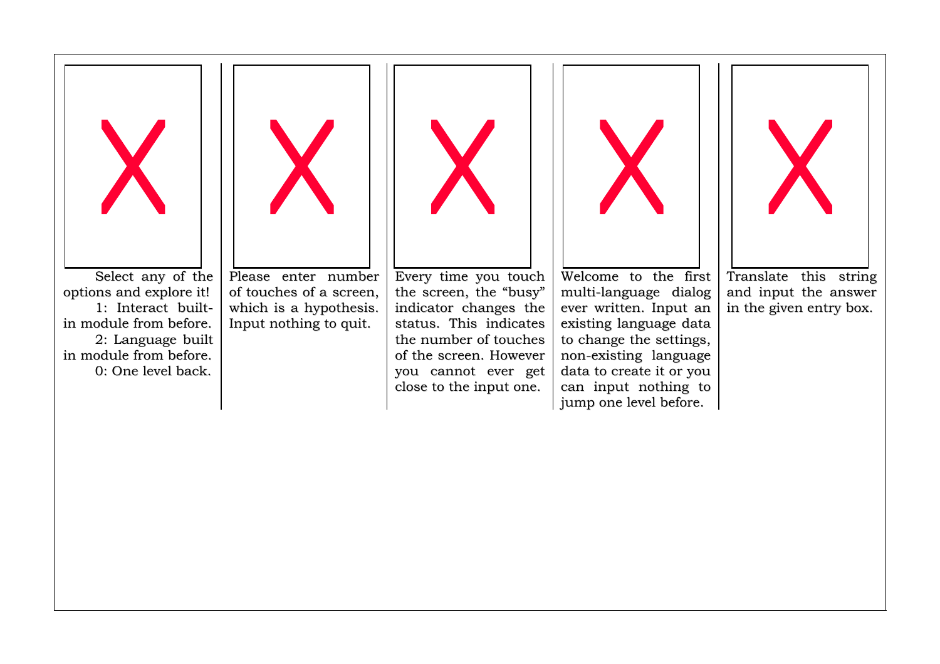

S ele ct a n y o f th e options and explore it! 1: Interact builtin module from before. 2: Language built in module from before. 0: One le vel bac k.



Please enter number of touches of a screen, whic h is ahy p othe sis. Input nothing to quit.



Every time you touch the screen, the "busy" indic ator c hange s the status. This indicates the number of touches of the screen. However you cannot ever get clo s e to th e in p ut o n e.



Welcome to the first multi-lang uag e dialog e v e r writte n. Inp ut ane xisting la ng uag e datato change the settings, non-existing language data to create it or you c a n in p ut n othin g to jump one level before.



Tr a n slate this strin g and input the answer in the given entry box.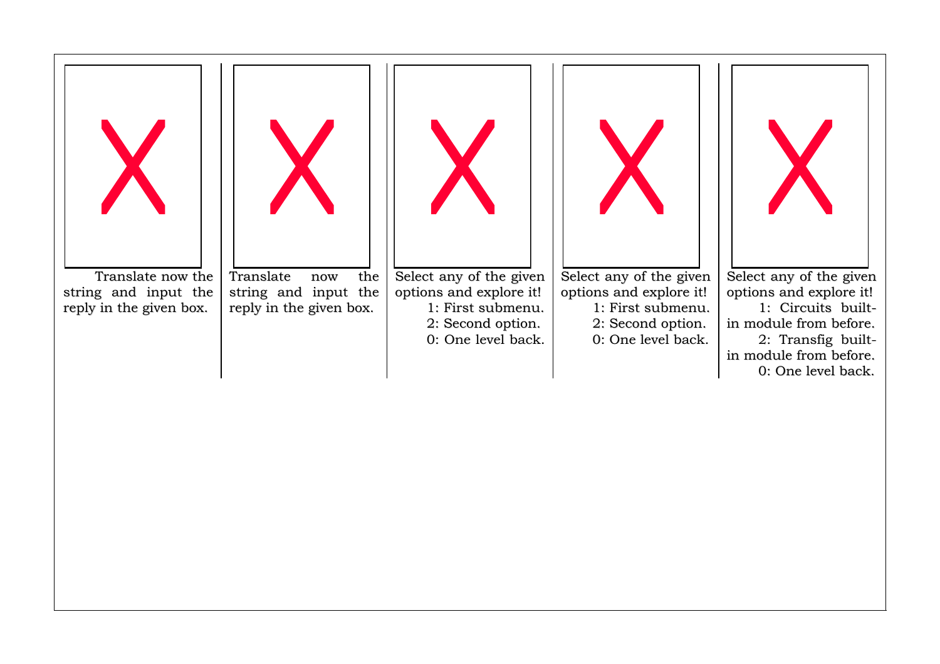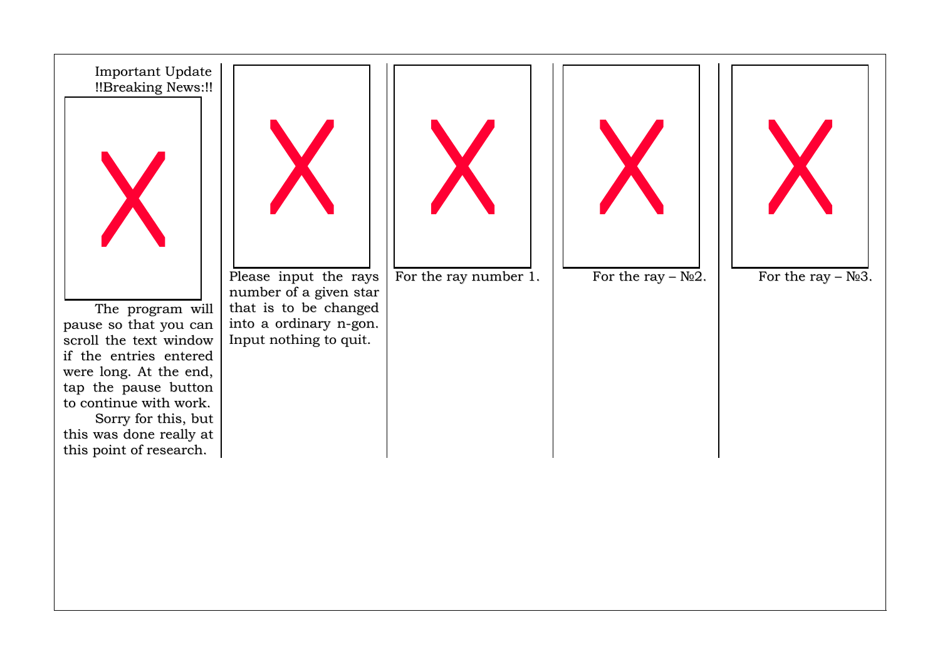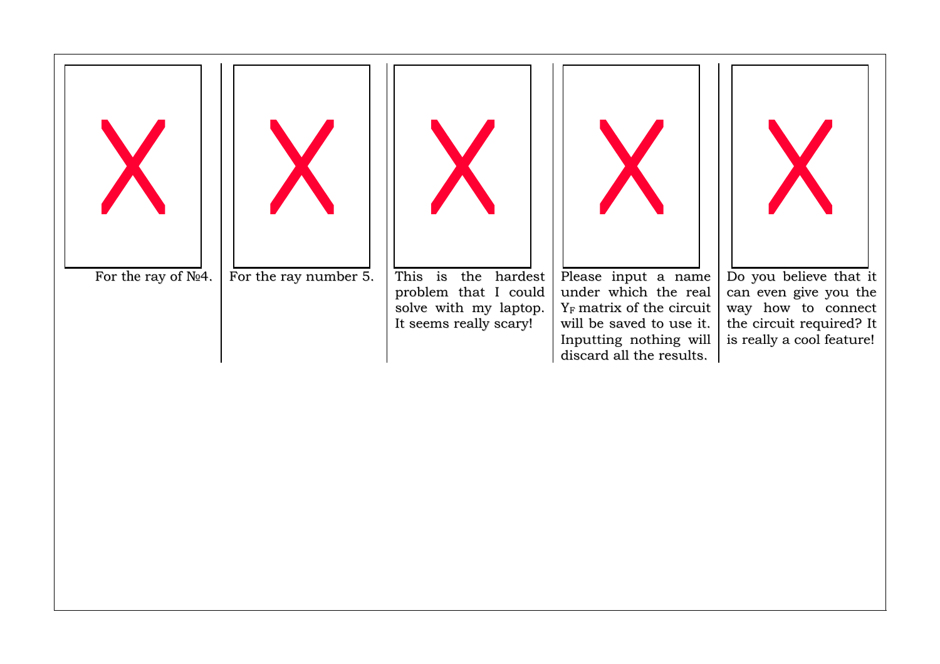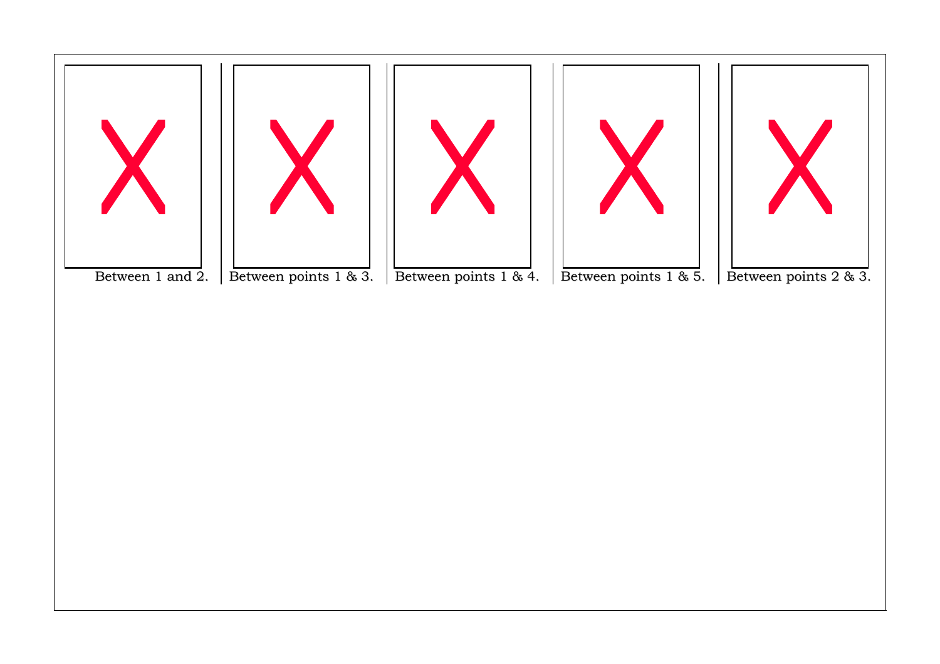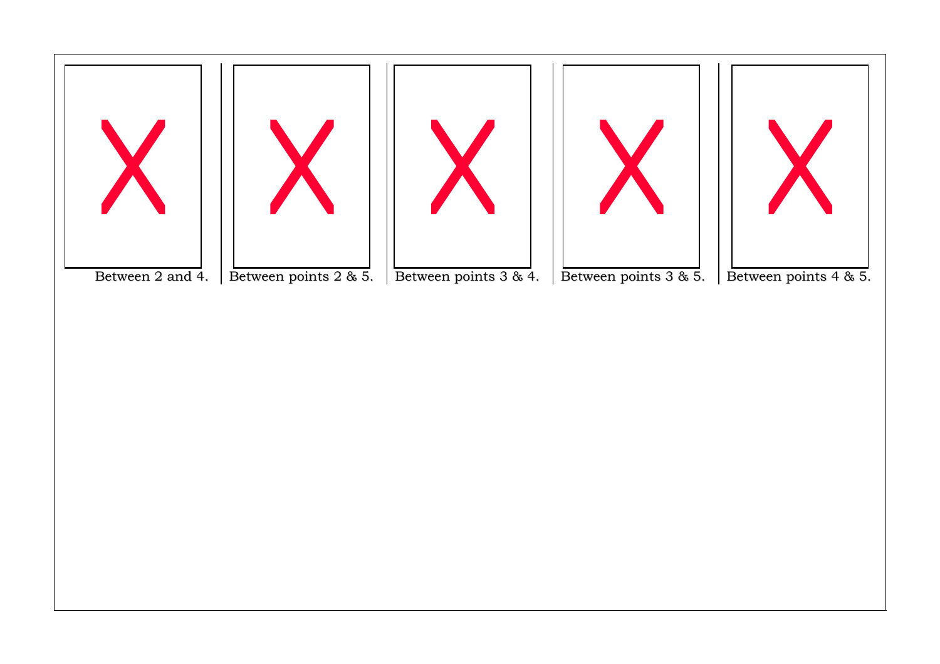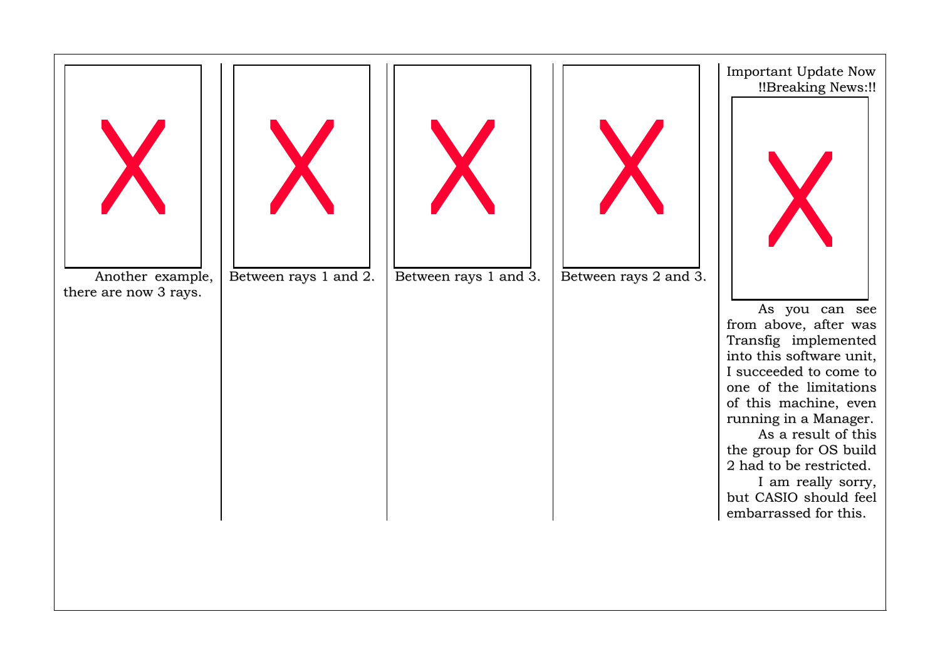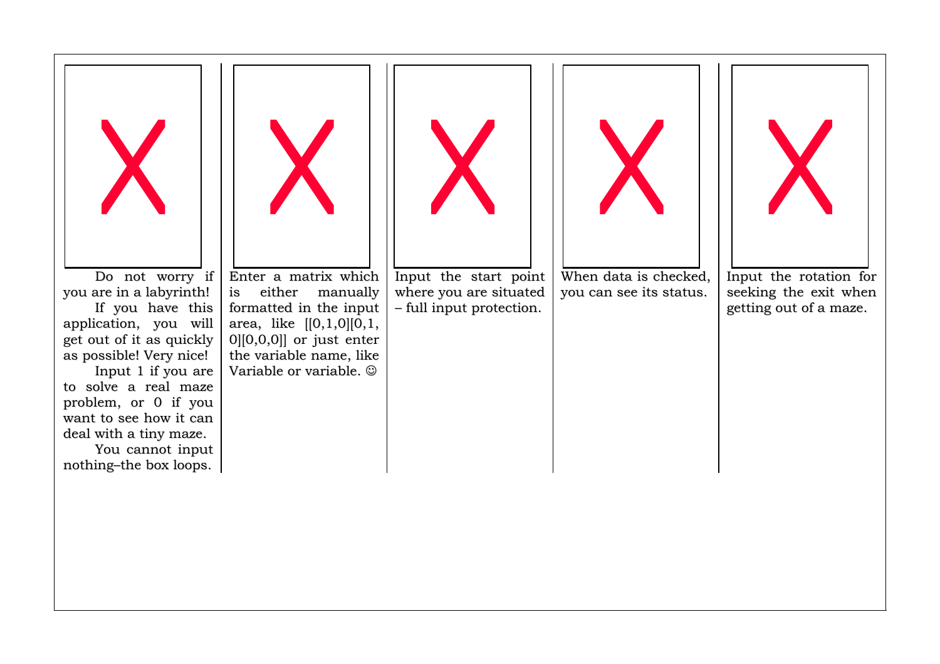

Do not worry if you are in a labyrinth! If y o u h av e this application, you will g et o ut o f it a s q uic kly as possible! Very nice! Input 1 if you are to solve a real maze p r oble m, o r 0 if y ouwant to see how it can deal with a tiny maze.

You cannot input n othin g–th e b o x lo o p s.



Enter a matrix which is either manually for matte d in th e inp ut ar e a, lik e [[0,1,0][0,1, 0][0,0,0]] or just enter th e v aria ble n a me, lik e Variable or variable. ☺



In p ut th e start p oint where you are situated – full input protection.



When data is checked, you can see its status.



In p ut th e r otatio n fo r seeking the exit when getting out of a maze.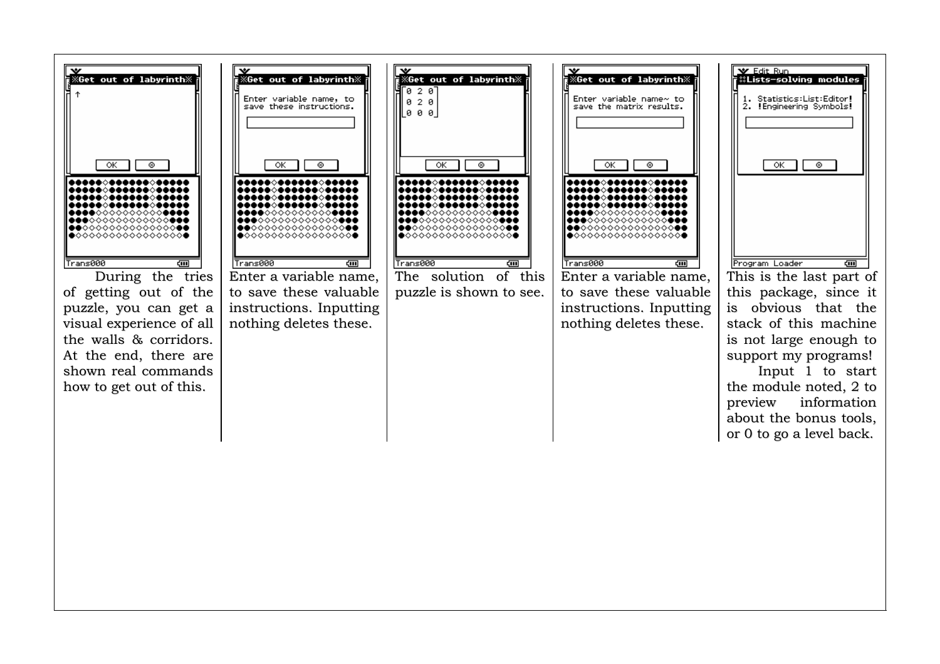